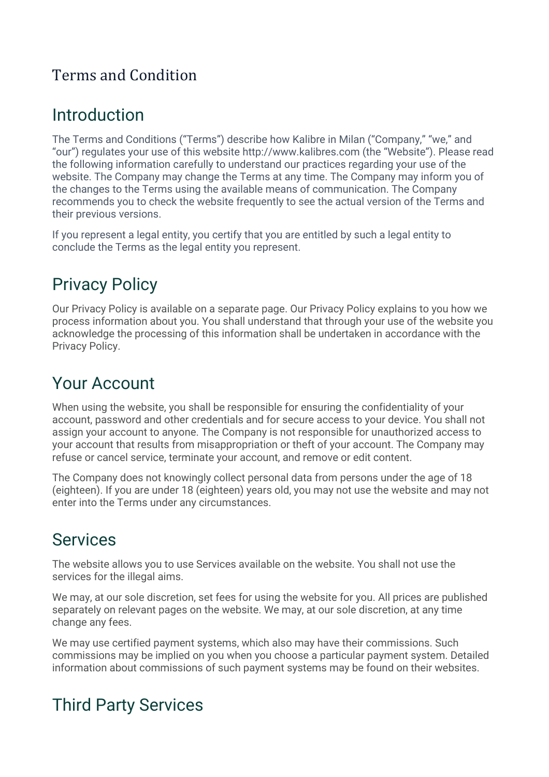#### Terms and Condition

## Introduction

The Terms and Conditions ("Terms") describe how Kalibre in Milan ("Company," "we," and "our") regulates your use of this website http://www.kalibres.com (the "Website"). Please read the following information carefully to understand our practices regarding your use of the website. The Company may change the Terms at any time. The Company may inform you of the changes to the Terms using the available means of communication. The Company recommends you to check the website frequently to see the actual version of the Terms and their previous versions.

If you represent a legal entity, you certify that you are entitled by such a legal entity to conclude the Terms as the legal entity you represent.

# Privacy Policy

Our Privacy Policy is available on a separate page. Our Privacy Policy explains to you how we process information about you. You shall understand that through your use of the website you acknowledge the processing of this information shall be undertaken in accordance with the Privacy Policy.

# Your Account

When using the website, you shall be responsible for ensuring the confidentiality of your account, password and other credentials and for secure access to your device. You shall not assign your account to anyone. The Company is not responsible for unauthorized access to your account that results from misappropriation or theft of your account. The Company may refuse or cancel service, terminate your account, and remove or edit content.

The Company does not knowingly collect personal data from persons under the age of 18 (eighteen). If you are under 18 (eighteen) years old, you may not use the website and may not enter into the Terms under any circumstances.

#### Services

The website allows you to use Services available on the website. You shall not use the services for the illegal aims.

We may, at our sole discretion, set fees for using the website for you. All prices are published separately on relevant pages on the website. We may, at our sole discretion, at any time change any fees.

We may use certified payment systems, which also may have their commissions. Such commissions may be implied on you when you choose a particular payment system. Detailed information about commissions of such payment systems may be found on their websites.

# Third Party Services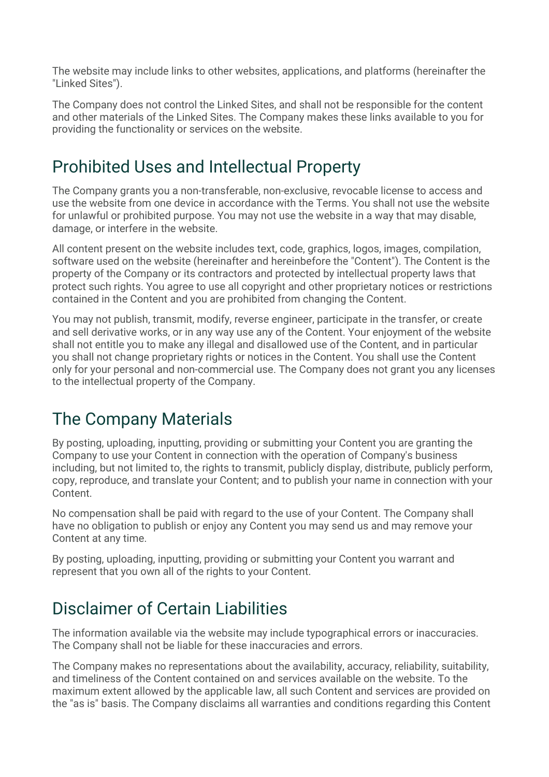The website may include links to other websites, applications, and platforms (hereinafter the "Linked Sites").

The Company does not control the Linked Sites, and shall not be responsible for the content and other materials of the Linked Sites. The Company makes these links available to you for providing the functionality or services on the website.

## Prohibited Uses and Intellectual Property

The Company grants you a non-transferable, non-exclusive, revocable license to access and use the website from one device in accordance with the Terms. You shall not use the website for unlawful or prohibited purpose. You may not use the website in a way that may disable, damage, or interfere in the website.

All content present on the website includes text, code, graphics, logos, images, compilation, software used on the website (hereinafter and hereinbefore the "Content"). The Content is the property of the Company or its contractors and protected by intellectual property laws that protect such rights. You agree to use all copyright and other proprietary notices or restrictions contained in the Content and you are prohibited from changing the Content.

You may not publish, transmit, modify, reverse engineer, participate in the transfer, or create and sell derivative works, or in any way use any of the Content. Your enjoyment of the website shall not entitle you to make any illegal and disallowed use of the Content, and in particular you shall not change proprietary rights or notices in the Content. You shall use the Content only for your personal and non-commercial use. The Company does not grant you any licenses to the intellectual property of the Company.

# The Company Materials

By posting, uploading, inputting, providing or submitting your Content you are granting the Company to use your Content in connection with the operation of Company's business including, but not limited to, the rights to transmit, publicly display, distribute, publicly perform, copy, reproduce, and translate your Content; and to publish your name in connection with your Content.

No compensation shall be paid with regard to the use of your Content. The Company shall have no obligation to publish or enjoy any Content you may send us and may remove your Content at any time.

By posting, uploading, inputting, providing or submitting your Content you warrant and represent that you own all of the rights to your Content.

## Disclaimer of Certain Liabilities

The information available via the website may include typographical errors or inaccuracies. The Company shall not be liable for these inaccuracies and errors.

The Company makes no representations about the availability, accuracy, reliability, suitability, and timeliness of the Content contained on and services available on the website. To the maximum extent allowed by the applicable law, all such Content and services are provided on the "as is" basis. The Company disclaims all warranties and conditions regarding this Content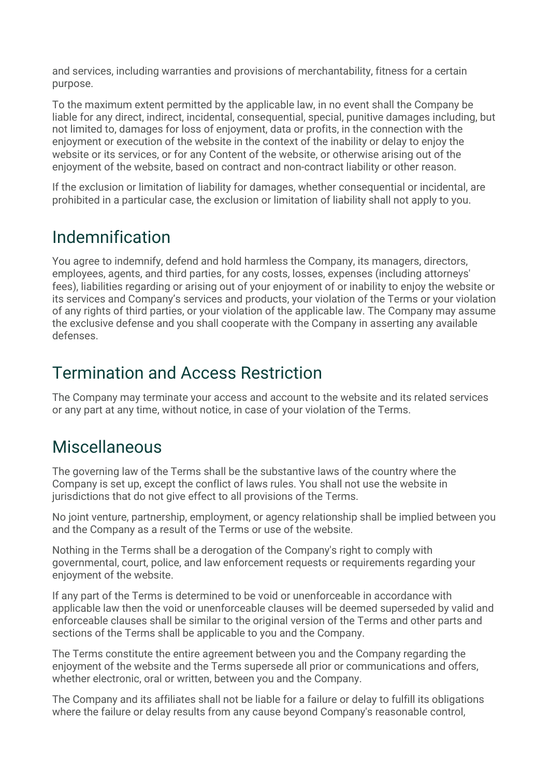and services, including warranties and provisions of merchantability, fitness for a certain purpose.

To the maximum extent permitted by the applicable law, in no event shall the Company be liable for any direct, indirect, incidental, consequential, special, punitive damages including, but not limited to, damages for loss of enjoyment, data or profits, in the connection with the enjoyment or execution of the website in the context of the inability or delay to enjoy the website or its services, or for any Content of the website, or otherwise arising out of the enjoyment of the website, based on contract and non-contract liability or other reason.

If the exclusion or limitation of liability for damages, whether consequential or incidental, are prohibited in a particular case, the exclusion or limitation of liability shall not apply to you.

#### Indemnification

You agree to indemnify, defend and hold harmless the Company, its managers, directors, employees, agents, and third parties, for any costs, losses, expenses (including attorneys' fees), liabilities regarding or arising out of your enjoyment of or inability to enjoy the website or its services and Company's services and products, your violation of the Terms or your violation of any rights of third parties, or your violation of the applicable law. The Company may assume the exclusive defense and you shall cooperate with the Company in asserting any available defenses.

### Termination and Access Restriction

The Company may terminate your access and account to the website and its related services or any part at any time, without notice, in case of your violation of the Terms.

#### **Miscellaneous**

The governing law of the Terms shall be the substantive laws of the country where the Company is set up, except the conflict of laws rules. You shall not use the website in jurisdictions that do not give effect to all provisions of the Terms.

No joint venture, partnership, employment, or agency relationship shall be implied between you and the Company as a result of the Terms or use of the website.

Nothing in the Terms shall be a derogation of the Company's right to comply with governmental, court, police, and law enforcement requests or requirements regarding your enjoyment of the website.

If any part of the Terms is determined to be void or unenforceable in accordance with applicable law then the void or unenforceable clauses will be deemed superseded by valid and enforceable clauses shall be similar to the original version of the Terms and other parts and sections of the Terms shall be applicable to you and the Company.

The Terms constitute the entire agreement between you and the Company regarding the enjoyment of the website and the Terms supersede all prior or communications and offers, whether electronic, oral or written, between you and the Company.

The Company and its affiliates shall not be liable for a failure or delay to fulfill its obligations where the failure or delay results from any cause beyond Company's reasonable control,